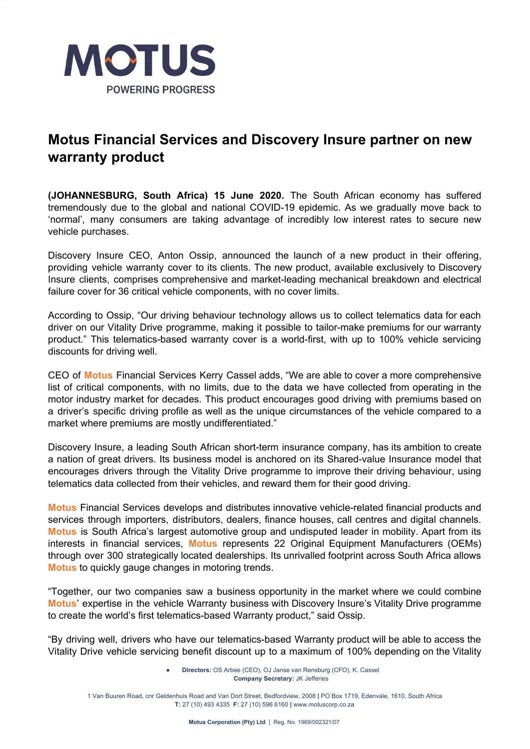

## **Motus Financial Services and Discovery Insure partner on new warranty product**

**(JOHANNESBURG, South Africa) 15 June 2020.** The South African economy has suffered tremendously due to the global and national COVID-19 epidemic. As we gradually move back to 'normal', many consumers are taking advantage of incredibly low interest rates to secure new vehicle purchases.

Discovery Insure CEO, Anton Ossip, announced the launch of a new product in their offering, providing vehicle warranty cover to its clients. The new product, available exclusively to Discovery Insure clients, comprises comprehensive and market-leading mechanical breakdown and electrical failure cover for 36 critical vehicle components, with no cover limits.

According to Ossip, "Our driving behaviour technology allows us to collect telematics data for each driver on our Vitality Drive programme, making it possible to tailor-make premiums for our warranty product." This telematics-based warranty cover is a world-first, with up to 100% vehicle servicing discounts for driving well.

CEO of **Motus** Financial Services Kerry Cassel adds, "We are able to cover a more comprehensive list of critical components, with no limits, due to the data we have collected from operating in the motor industry market for decades. This product encourages good driving with premiums based on a driver's specific driving profile as well as the unique circumstances of the vehicle compared to a market where premiums are mostly undifferentiated."

Discovery Insure, a leading South African short-term insurance company, has its ambition to create a nation of great drivers. Its business model is anchored on its Shared-value Insurance model that encourages drivers through the Vitality Drive programme to improve their driving behaviour, using telematics data collected from their vehicles, and reward them for their good driving.

**Motus** Financial Services develops and distributes innovative vehicle-related financial products and services through importers, distributors, dealers, finance houses, call centres and digital channels. **Motus** is South Africa's largest automotive group and undisputed leader in mobility. Apart from its interests in financial services, **Motus** represents 22 Original Equipment Manufacturers (OEMs) through over 300 strategically located dealerships. Its unrivalled footprint across South Africa allows **Motus** to quickly gauge changes in motoring trends.

"Together, our two companies saw a business opportunity in the market where we could combine **Motus**' expertise in the vehicle Warranty business with Discovery Insure's Vitality Drive programme to create the world's first telematics-based Warranty product," said Ossip.

"By driving well, drivers who have our telematics-based Warranty product will be able to access the Vitality Drive vehicle servicing benefit discount up to a maximum of 100% depending on the Vitality

> ● **Directors:** OS Arbee (CEO), OJ Janse van Rensburg (CFO), K. Cassel **Company Secretary:** JK Jefferies

1 Van Buuren Road, cnr Geldenhuis Road and Van Dort Street, Bedfordview, 2008 **|** PO Box 1719, Edenvale, 1610, South Africa **T:** 27 (10) 493 4335 **F:** 27 (10) 596 6160 **|** www.motuscorp.co.za